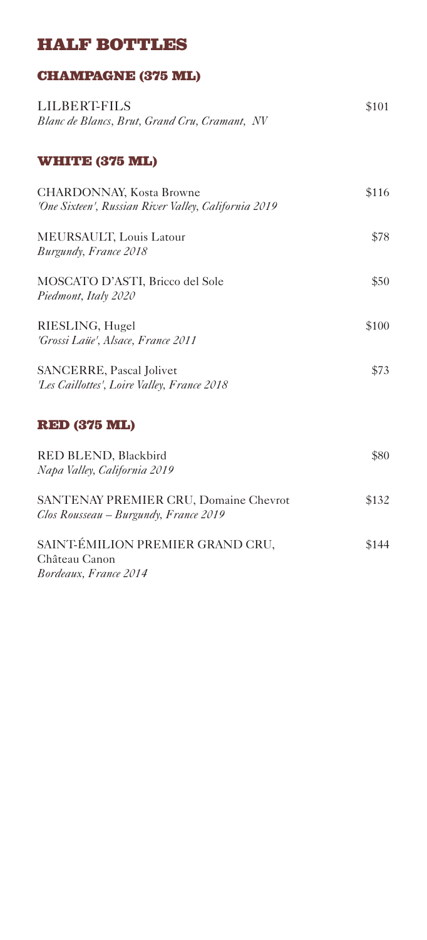### **HALF BOTTLES**

### **CHAMPAGNE (375 ML)**

| <b>LILBERT-FILS</b><br>Blanc de Blancs, Brut, Grand Cru, Cramant, NV                    | \$101 |
|-----------------------------------------------------------------------------------------|-------|
| <b>WHITE (375 ML)</b>                                                                   |       |
| <b>CHARDONNAY, Kosta Browne</b><br>'One Sixteen', Russian River Valley, California 2019 | \$116 |
| MEURSAULT, Louis Latour<br>Burgundy, France 2018                                        | \$78  |
| MOSCATO D'ASTI, Bricco del Sole<br>Piedmont, Italy 2020                                 | \$50  |
| RIESLING, Hugel<br>'Grossi Laüe', Alsace, France 2011                                   | \$100 |
| <b>SANCERRE, Pascal Jolivet</b><br>'Les Caillottes', Loire Valley, France 2018          | \$73  |
| <b>RED (375 ML)</b>                                                                     |       |

| RED BLEND, Blackbird                         | \$80  |
|----------------------------------------------|-------|
| Napa Valley, California 2019                 |       |
|                                              |       |
| <b>SANTENAY PREMIER CRU, Domaine Chevrot</b> | \$132 |
| Clos Rousseau – Burgundy, France 2019        |       |

| SAINT-ÉMILION PREMIER GRAND CRU, | \$144 |
|----------------------------------|-------|
| Château Canon                    |       |
| Bordeaux, France 2014            |       |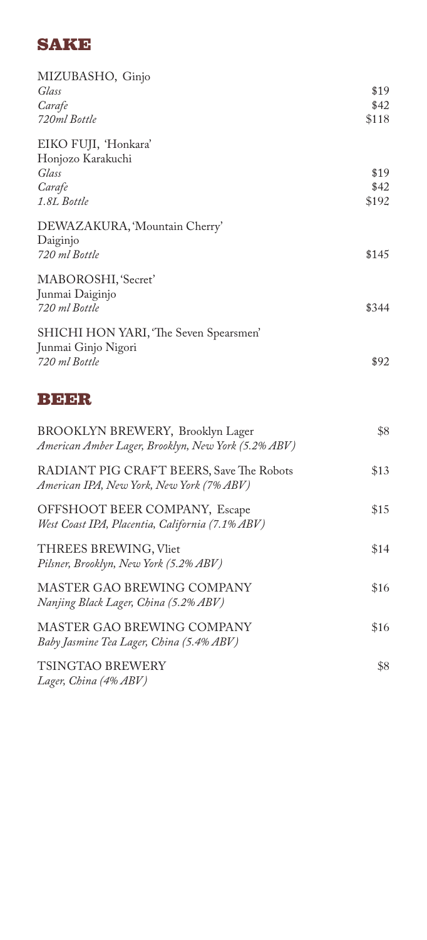# **SAKE**

| MIZUBASHO, Ginjo<br>Glass<br>Carafe<br>720ml Bottle                                     | \$19<br>\$42<br>\$118 |
|-----------------------------------------------------------------------------------------|-----------------------|
| EIKO FUJI, 'Honkara'<br>Honjozo Karakuchi<br>Glass<br>Carafe<br>1.8L Bottle             | \$19<br>\$42<br>\$192 |
| DEWAZAKURA, 'Mountain Cherry'<br>Daiginjo<br>720 ml Bottle                              | \$145                 |
| MABOROSHI, 'Secret'<br>Junmai Daiginjo<br>720 ml Bottle                                 | \$344                 |
| SHICHI HON YARI, 'The Seven Spearsmen'<br>Junmai Ginjo Nigori<br>720 ml Bottle          | \$92                  |
| BER                                                                                     |                       |
| BROOKLYN BREWERY, Brooklyn Lager<br>American Amber Lager, Brooklyn, New York (5.2% ABV) | \$8                   |
| RADIANT PIG CRAFT BEERS, Save The Robots<br>American IPA, New York, New York (7% ABV)   | \$13                  |
| OFFSHOOT BEER COMPANY, Escape<br>West Coast IPA, Placentia, California (7.1% ABV)       | \$15                  |
| THREES BREWING, Vliet<br>Pilsner, Brooklyn, New York (5.2% ABV)                         | \$14                  |
| MASTER GAO BREWING COMPANY<br>Nanjing Black Lager, China (5.2% ABV)                     | \$16                  |
| MASTER GAO BREWING COMPANY<br>Baby Jasmine Tea Lager, China (5.4% ABV)                  | \$16                  |
| TSINGTAO BREWERY<br>Lager, China (4% ABV)                                               | \$8                   |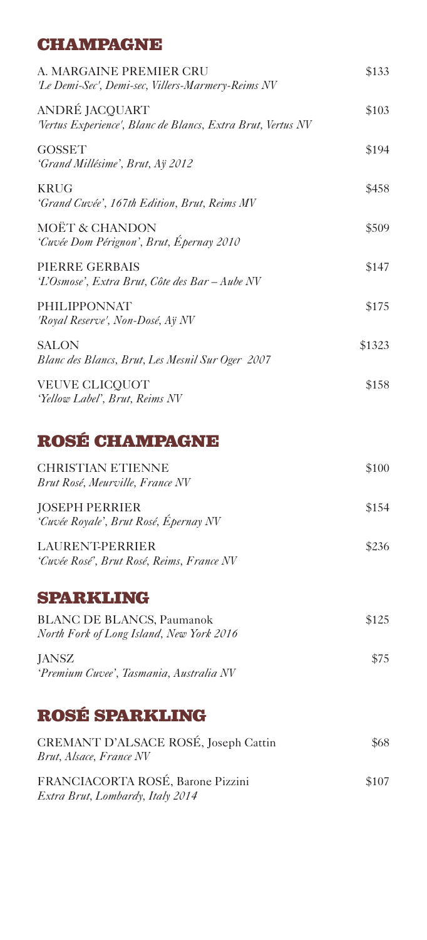## **CHAMPAGNE**

| A. MARGAINE PREMIER CRU<br>'Le Demi-Sec', Demi-sec, Villers-Marmery-Reims NV | \$133  |
|------------------------------------------------------------------------------|--------|
| ANDRÉ JACQUART<br>Vertus Experience', Blanc de Blancs, Extra Brut, Vertus NV | \$103  |
| <b>GOSSET</b><br>'Grand Millésime', Brut, Aÿ 2012                            | \$194  |
| <b>KRUG</b><br>'Grand Cuvée', 167th Edition, Brut, Reims MV                  | \$458  |
| MOËT & CHANDON<br>'Cuvée Dom Pérignon', Brut, Épernay 2010                   | \$509  |
| PIERRE GERBAIS<br>'L'Osmose', Extra Brut, Côte des Bar – Aube NV             | \$147  |
| <b>PHILIPPONNAT</b><br>'Royal Reserve', Non-Dosé, Aÿ NV                      | \$175  |
| <b>SALON</b><br>Blanc des Blancs, Brut, Les Mesnil Sur Oger 2007             | \$1323 |
| <b>VEUVE CLICQUOT</b><br>'Yellow Label', Brut, Reims NV                      | \$158  |

# **ROSÉ CHAMPAGNE**

| <b>CHRISTIAN ETIENNE</b><br>Brut Rosé, Meurville, France NV         | \$100 |
|---------------------------------------------------------------------|-------|
| <b>JOSEPH PERRIER</b><br>'Cuvée Royale', Brut Rosé, Épernay NV      | \$154 |
| <b>LAURENT-PERRIER</b><br>'Cuvée Rosé', Brut Rosé, Reims, France NV | \$236 |

### **SPARKLING**

| <b>BLANC DE BLANCS, Paumanok</b>         | \$125 |
|------------------------------------------|-------|
| North Fork of Long Island, New York 2016 |       |
| <b>JANSZ</b>                             | \$75  |
| 'Premium Cuvee', Tasmania, Australia NV  |       |

# **ROSÉ SPARKLING**

| CREMANT D'ALSACE ROSÉ, Joseph Cattin<br>Brut, Alsace, France NV       | \$68  |
|-----------------------------------------------------------------------|-------|
| FRANCIACORTA ROSÉ, Barone Pizzini<br>Extra Brut, Lombardy, Italy 2014 | \$107 |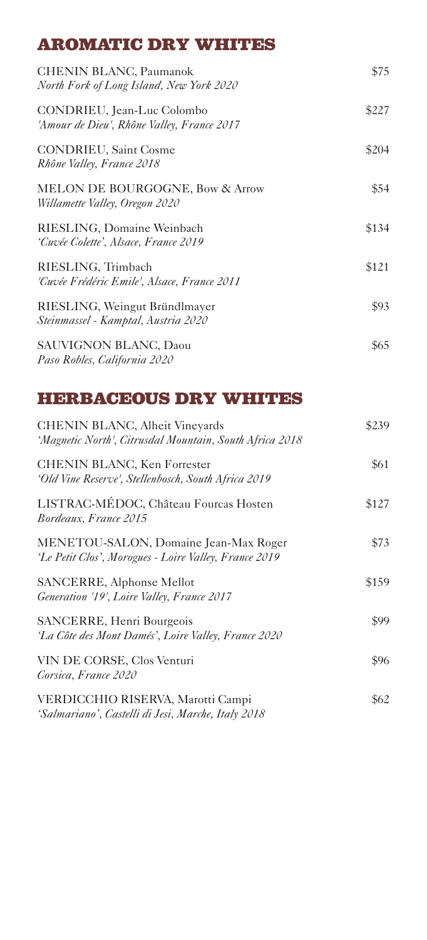## **AROMATIC DRY WHITES**

| <b>CHENIN BLANC, Paumanok</b><br>North Fork of Long Island, New York 2020 | \$75  |
|---------------------------------------------------------------------------|-------|
| CONDRIEU, Jean-Luc Colombo<br>'Amour de Dieu', Rhône Valley, France 2017  | \$227 |
| <b>CONDRIEU, Saint Cosme</b><br>Rhône Valley, France 2018                 | \$204 |
| MELON DE BOURGOGNE, Bow & Arrow<br>Willamette Valley, Oregon 2020         | \$54  |
| RIESLING, Domaine Weinbach<br>'Cuvée Colette', Alsace, France 2019        | \$134 |
| RIESLING, Trimbach<br>'Cuvée Frédéric Emile', Alsace, France 2011         | \$121 |
| RIESLING, Weingut Bründlmayer<br>Steinmassel - Kamptal, Austria 2020      | \$93  |
| <b>SAUVIGNON BLANC, Daou</b><br>Paso Robles, California 2020              | \$65  |

## **HERBACEOUS DRY WHITES**

| CHENIN BLANC, Alheit Vineyards<br>'Magnetic North', Citrusdal Mountain, South Africa 2018      | \$239 |
|------------------------------------------------------------------------------------------------|-------|
| CHENIN BLANC, Ken Forrester<br>'Old Vine Reserve', Stellenbosch, South Africa 2019             | \$61  |
| LISTRAC-MÉDOC, Château Fourcas Hosten<br>Bordeaux, France 2015                                 | \$127 |
| MENETOU-SALON, Domaine Jean-Max Roger<br>'Le Petit Clos', Morogues - Loire Valley, France 2019 | \$73  |
| SANCERRE, Alphonse Mellot<br>Generation '19', Loire Valley, France 2017                        | \$159 |
| SANCERRE, Henri Bourgeois<br>'La Côte des Mont Damés', Loire Valley, France 2020               | \$99  |
| VIN DE CORSE, Clos Venturi<br>Corsica, France 2020                                             | \$96  |
| VERDICCHIO RISERVA, Marotti Campi<br>'Salmariano', Castelli di Jesi, Marche, Italy 2018        | \$62  |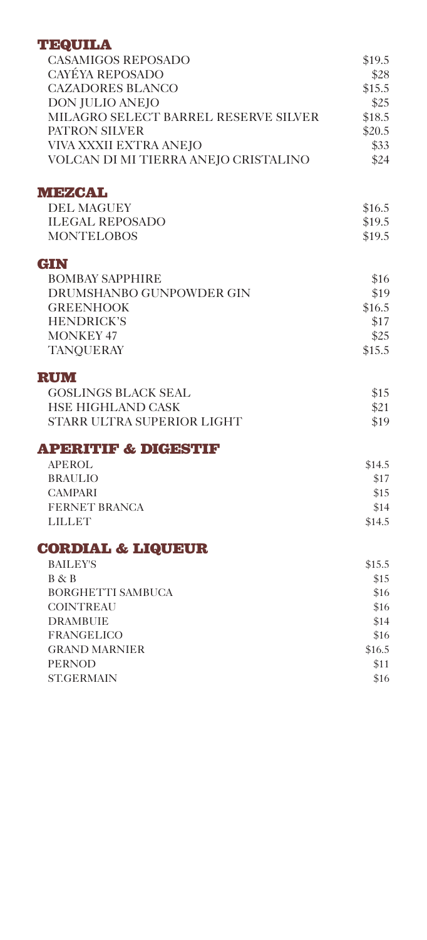#### **TEQUILA**

| <b>CASAMIGOS REPOSADO</b>            | \$19.5 |
|--------------------------------------|--------|
| <b>CAYÉYA REPOSADO</b>               | \$28   |
| <b>CAZADORES BLANCO</b>              | \$15.5 |
| DON JULIO ANEJO                      | \$25   |
| MILAGRO SELECT BARREL RESERVE SILVER | \$18.5 |
| PATRON SILVER                        | \$20.5 |
| VIVA XXXII EXTRA ANEJO               | \$33   |
| VOLCAN DI MI TIERRA ANEJO CRISTALINO | \$24   |
| <b>MEZCAL</b>                        |        |
| <b>DEL MAGUEY</b>                    | \$16.5 |
| <b>ILEGAL REPOSADO</b>               | \$19.5 |
| <b>MONTELOBOS</b>                    | \$19.5 |
| GIN                                  |        |
| <b>BOMBAY SAPPHIRE</b>               | \$16   |
| DRUMSHANBO GUNPOWDER GIN             | \$19   |
| <b>GREENHOOK</b>                     | \$16.5 |
| <b>HENDRICK'S</b>                    | \$17   |
| <b>MONKEY 47</b>                     | \$25   |
| <b>TANQUERAY</b>                     | \$15.5 |
| <b>RUM</b>                           |        |
| <b>GOSLINGS BLACK SEAL</b>           | \$15   |
| HSE HIGHLAND CASK                    | \$21   |
| STARR ULTRA SUPERIOR LIGHT           | \$19   |
| <b>APERITIF &amp; DIGESTIF</b>       |        |
| <b>APEROL</b>                        | \$14.5 |
| <b>BRAULIO</b>                       | \$17   |
| <b>CAMPARI</b>                       | \$15   |
| <b>FERNET BRANCA</b>                 | \$14   |
| <b>LILLET</b>                        | \$14.5 |
| <b>CORDIAL &amp; LIQUEUR</b>         |        |
| <b>BAILEY'S</b>                      | \$15.5 |
| B & B                                | \$15   |
| <b>BORGHETTI SAMBUCA</b>             | \$16   |
| <b>COINTREAU</b>                     | \$16   |
| <b>DRAMBUIE</b>                      | \$14   |
| <b>FRANGELICO</b>                    | \$16   |
| <b>GRAND MARNIER</b>                 | \$16.5 |
| <b>PERNOD</b>                        | \$11   |
| <b>ST.GERMAIN</b>                    | \$16   |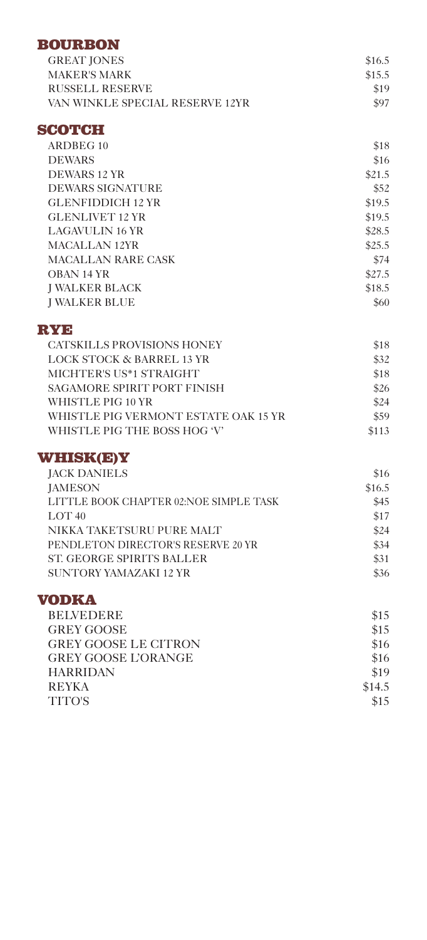#### **BOURBON**

| <b>GREAT IONES</b>              | \$16.5 |
|---------------------------------|--------|
| MAKER'S MARK                    | \$15.5 |
| RUSSELL RESERVE                 | \$19   |
| VAN WINKLE SPECIAL RESERVE 12YR | \$97   |

#### **SCOTCH**

| ARDBEG 10                | \$18   |
|--------------------------|--------|
| <b>DEWARS</b>            | \$16   |
| <b>DEWARS 12 YR</b>      | \$21.5 |
| <b>DEWARS SIGNATURE</b>  | \$52   |
| <b>GLENFIDDICH 12 YR</b> | \$19.5 |
| <b>GLENLIVET 12 YR</b>   | \$19.5 |
| LAGAVULIN 16 YR          | \$28.5 |
| MACALLAN 12YR            | \$25.5 |
| MACALLAN RARE CASK       | \$74   |
| OBAN 14 YR               | \$27.5 |
| <b>I WALKER BLACK</b>    | \$18.5 |
| <b>I WALKER BLUE</b>     | \$60   |

#### **RYE**

| CATSKILLS PROVISIONS HONEY           | \$18  |
|--------------------------------------|-------|
| LOCK STOCK & BARREL 13 YR            | \$32  |
| MICHTER'S US*1 STRAIGHT              | \$18  |
| <b>SAGAMORE SPIRIT PORT FINISH</b>   | \$26  |
| WHISTLE PIG 10 YR                    | \$24  |
| WHISTLE PIG VERMONT ESTATE OAK 15 YR | \$59  |
| WHISTLE PIG THE BOSS HOG 'V'         | \$113 |

#### **WHISK(E)Y**

| <b>JACK DANIELS</b>                    | \$16   |
|----------------------------------------|--------|
| <b>IAMESON</b>                         | \$16.5 |
| LITTLE BOOK CHAPTER 02:NOE SIMPLE TASK | \$45   |
| LOT $40$                               | \$17   |
| NIKKA TAKETSURU PURE MALT              | \$24   |
| PENDLETON DIRECTOR'S RESERVE 20 YR     | \$34   |
| ST. GEORGE SPIRITS BALLER              | \$31   |
| SUNTORY YAMAZAKI 12 YR                 | \$36   |
|                                        |        |

#### **VODKA**

| <b>BELVEDERE</b>            | \$15   |
|-----------------------------|--------|
| <b>GREY GOOSE</b>           | \$15   |
| <b>GREY GOOSE LE CITRON</b> | \$16   |
| <b>GREY GOOSE L'ORANGE</b>  | \$16   |
| <b>HARRIDAN</b>             | \$19   |
| <b>REYKA</b>                | \$14.5 |
| TITO'S                      | \$15   |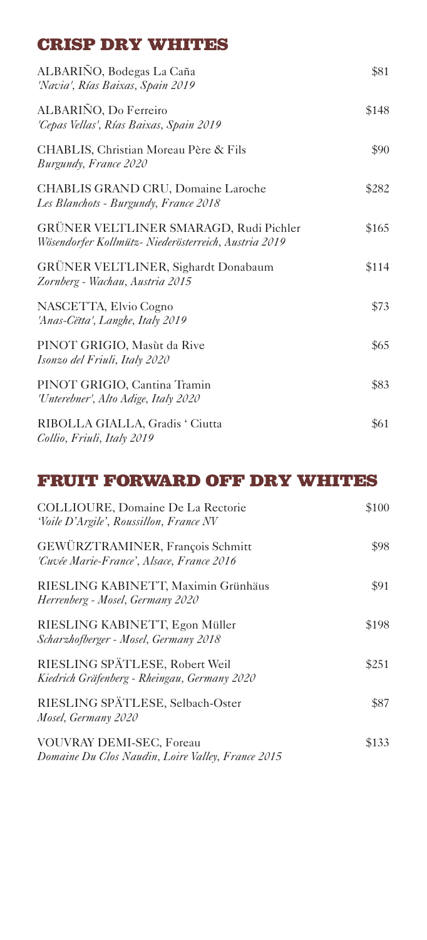## **CRISP DRY WHITES**

| ALBARIÑO, Bodegas La Caña<br>'Navia', Rías Baixas, Spain 2019                                  | \$81  |
|------------------------------------------------------------------------------------------------|-------|
| ALBARIÑO, Do Ferreiro<br>'Cepas Vellas', Rías Baixas, Spain 2019                               | \$148 |
| CHABLIS, Christian Moreau Père & Fils<br>Burgundy, France 2020                                 | \$90  |
| CHABLIS GRAND CRU, Domaine Laroche<br>Les Blanchots - Burgundy, France 2018                    | \$282 |
| GRÜNER VELTLINER SMARAGD, Rudi Pichler<br>Wösendorfer Kollmütz- Niederösterreich, Austria 2019 | \$165 |
| GRÜNER VELTLINER, Sighardt Donabaum<br>Zornberg - Wachau, Austria 2015                         | \$114 |
| NASCETTA, Elvio Cogno<br>'Anas-Cëtta', Langhe, Italy 2019                                      | \$73  |
| PINOT GRIGIO, Masùt da Rive<br>Isonzo del Friuli, Italy 2020                                   | \$65  |
| PINOT GRIGIO, Cantina Tramin<br>'Unterebner', Alto Adige, Italy 2020                           | \$83  |
| RIBOLLA GIALLA, Gradis ' Ciutta<br>Collio, Friuli, Italy 2019                                  | \$61  |

# **FRUIT FORWARD OFF DRY WHITES**

| COLLIOURE, Domaine De La Rectorie<br>'Voile D'Argile', Roussillon, France NV         | \$100 |
|--------------------------------------------------------------------------------------|-------|
| GEWÜRZTRAMINER, François Schmitt<br>'Cuvée Marie-France', Alsace, France 2016        | \$98  |
| RIESLING KABINETT, Maximin Grünhäus<br>Herrenberg - Mosel, Germany 2020              | \$91  |
| RIESLING KABINETT, Egon Müller<br>Scharzhofberger - Mosel, Germany 2018              | \$198 |
| RIESLING SPÄTLESE, Robert Weil<br>Kiedrich Gräfenberg - Rheingau, Germany 2020       | \$251 |
| RIESLING SPÄTLESE, Selbach-Oster<br>Mosel, Germany 2020                              | \$87  |
| <b>VOUVRAY DEMI-SEC, Foreau</b><br>Domaine Du Clos Naudin, Loire Valley, France 2015 | \$133 |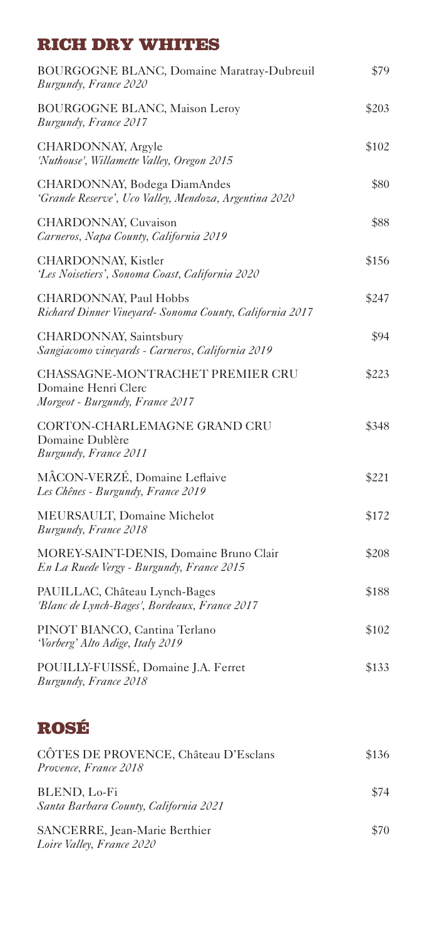# **RICH DRY WHITES**

| <b>BOURGOGNE BLANC, Domaine Maratray-Dubreuil</b><br>Burgundy, France 2020                 | \$79  |
|--------------------------------------------------------------------------------------------|-------|
| <b>BOURGOGNE BLANC, Maison Leroy</b><br>Burgundy, France 2017                              | \$203 |
| CHARDONNAY, Argyle<br>'Nuthouse', Willamette Valley, Oregon 2015                           | \$102 |
| CHARDONNAY, Bodega DiamAndes<br>'Grande Reserve', Uco Valley, Mendoza, Argentina 2020      | \$80  |
| CHARDONNAY, Cuvaison<br>Carneros, Napa County, California 2019                             | \$88  |
| CHARDONNAY, Kistler<br>'Les Noisetiers', Sonoma Coast, California 2020                     | \$156 |
| CHARDONNAY, Paul Hobbs<br>Richard Dinner Vineyard- Sonoma County, California 2017          | \$247 |
| CHARDONNAY, Saintsbury<br>Sangiacomo vineyards - Carneros, California 2019                 | \$94  |
| CHASSAGNE-MONTRACHET PREMIER CRU<br>Domaine Henri Clerc<br>Morgeot - Burgundy, France 2017 | \$223 |
| CORTON-CHARLEMAGNE GRAND CRU<br>Domaine Dublère<br>Burgundy, France 2011                   | \$348 |
| MÂCON-VERZÉ, Domaine Leflaive<br>Les Chênes - Burgundy, France 2019                        | \$221 |
| MEURSAULT, Domaine Michelot<br>Burgundy, France 2018                                       | \$172 |
| MOREY-SAINT-DENIS, Domaine Bruno Clair<br>En La Ruede Vergy - Burgundy, France 2015        | \$208 |
| PAUILLAC, Château Lynch-Bages<br>'Blanc de Lynch-Bages', Bordeaux, France 2017             | \$188 |
| PINOT BIANCO, Cantina Terlano<br>'Vorberg' Alto Adige, Italy 2019                          | \$102 |
| POUILLY-FUISSÉ, Domaine J.A. Ferret<br>Burgundy, France 2018                               | \$133 |
| <b>ROSÉ</b>                                                                                |       |
| CÔTES DE PROVENCE, Château D'Esclans<br>Provence, France 2018                              | \$136 |
| BLEND, Lo-Fi<br>Santa Barbara County, California 2021                                      | \$74  |
| SANCERRE, Jean-Marie Berthier                                                              | \$70  |

*Loire Valley, France 2020*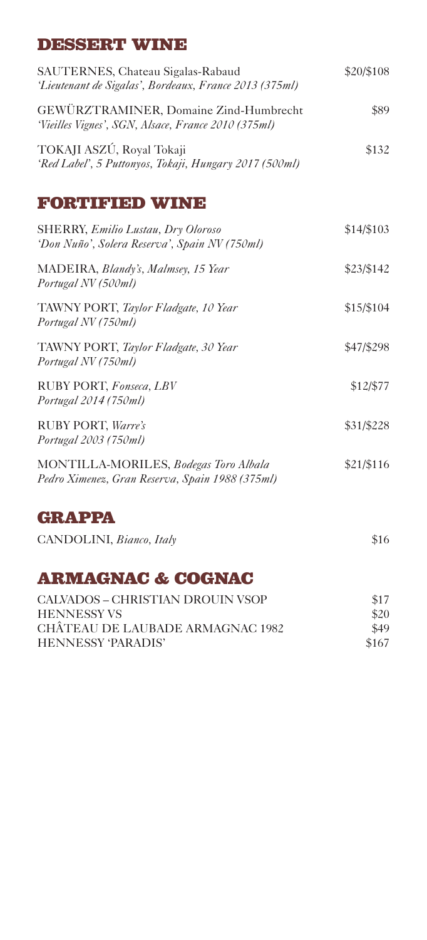## **DESSERT WINE**

| SAUTERNES, Chateau Sigalas-Rabaud<br>'Lieutenant de Sigalas', Bordeaux, France 2013 (375ml)   | \$20/\$108 |  |
|-----------------------------------------------------------------------------------------------|------------|--|
| GEWÜRZTRAMINER, Domaine Zind-Humbrecht<br>'Vieilles Vignes', SGN, Alsace, France 2010 (375ml) | \$89       |  |
| TOKAJI ASZÚ, Royal Tokaji<br>'Red Label', 5 Puttonyos, Tokaji, Hungary 2017 (500ml)           | \$132      |  |
| <b>FORTIFIED WINE</b>                                                                         |            |  |
| <b>SHERRY, Emilio Lustau, Dry Oloroso</b><br>'Don Nuño', Solera Reserva', Spain NV (750ml)    | \$14/\$103 |  |

| MADEIRA, Blandy's, Malmsey, 15 Year<br>Portugal NV (500ml)  | \$23/\$142 |
|-------------------------------------------------------------|------------|
| TAWNY PORT, Taylor Fladgate, 10 Year<br>Portugal NV (750ml) | \$15/\$104 |
| TAWNY PORT, Taylor Fladgate, 30 Year<br>Portugal NV (750ml) | \$47/\$298 |
| RUBY PORT, Fonseca, LBV                                     | \$12/\$77  |

*Portugal 2014 (750ml)*

RUBY PORT, *Warre's* \$31/\$228 *Portugal 2003 (750ml)*

MONTILLA-MORILES, *Bodegas Toro Albala* \$21/\$116 *Pedro Ximenez, Gran Reserva, Spain 1988 (375ml)* 

### **GRAPPA**

CANDOLINI, *Bianco*, *Italy* \$16

**ARMAGNAC & COGNAC** 

| CALVADOS – CHRISTIAN DROUIN VSOP | \$17  |
|----------------------------------|-------|
| <b>HENNESSY VS</b>               | \$20  |
| CHÂTEAU DE LAUBADE ARMAGNAC 1982 | \$49  |
| HENNESSY 'PARADIS'               | \$167 |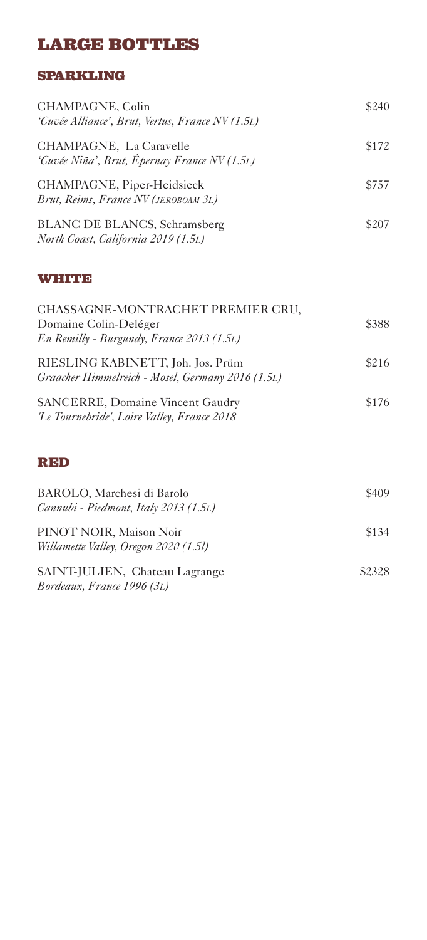# **LARGE BOTTLES**

#### **SPARKLING**

| CHAMPAGNE, Colin<br>'Cuvée Alliance', Brut, Vertus, France NV (1.5L)       | \$240 |
|----------------------------------------------------------------------------|-------|
| CHAMPAGNE, La Caravelle<br>'Cuvée Niña', Brut, Épernay France NV (1.5L)    | \$172 |
| CHAMPAGNE, Piper-Heidsieck<br>Brut, Reims, France NV (JEROBOAM 3L)         | \$757 |
| <b>BLANC DE BLANCS, Schramsberg</b><br>North Coast, California 2019 (1.5L) | \$207 |

#### **WHITE**

| CHASSAGNE-MONTRACHET PREMIER CRU,<br>Domaine Colin-Deléger                             | \$388 |
|----------------------------------------------------------------------------------------|-------|
| En Remilly - Burgundy, France 2013 (1.5L)<br>RIESLING KABINETT, Joh. Jos. Prüm         | \$216 |
| Graacher Himmelreich - Mosel, Germany 2016 (1.5L)                                      |       |
| <b>SANCERRE, Domaine Vincent Gaudry</b><br>'Le Tournebride', Loire Valley, France 2018 | \$176 |

#### **RED**

| BAROLO, Marchesi di Barolo<br>Cannubi - Piedmont, Italy 2013 (1.5L) | \$409  |
|---------------------------------------------------------------------|--------|
| PINOT NOIR, Maison Noir<br>Willamette Valley, Oregon 2020 (1.5l)    | \$134  |
| SAINT-JULIEN, Chateau Lagrange<br>Bordeaux, France 1996 (3L)        | \$2328 |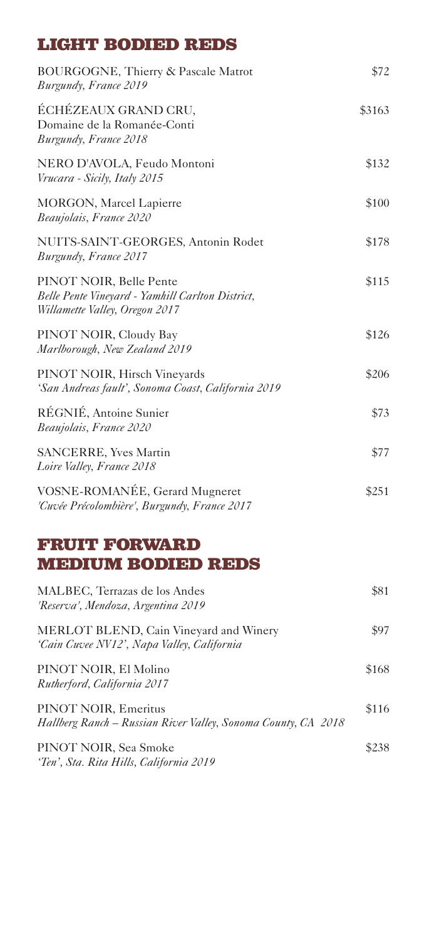### **LIGHT BODIED REDS**

| BOURGOGNE, Thierry & Pascale Matrot<br>Burgundy, France 2019                                                  | \$72   |
|---------------------------------------------------------------------------------------------------------------|--------|
| ÉCHÉZEAUX GRAND CRU,<br>Domaine de la Romanée-Conti<br>Burgundy, France 2018                                  | \$3163 |
| NERO D'AVOLA, Feudo Montoni<br>Vrucara - Sicily, Italy 2015                                                   | \$132  |
| MORGON, Marcel Lapierre<br>Beaujolais, France 2020                                                            | \$100  |
| NUITS-SAINT-GEORGES, Antonin Rodet<br>Burgundy, France 2017                                                   | \$178  |
| PINOT NOIR, Belle Pente<br>Belle Pente Vineyard - Yamhill Carlton District,<br>Willamette Valley, Oregon 2017 | \$115  |
| PINOT NOIR, Cloudy Bay<br>Marlborough, New Zealand 2019                                                       | \$126  |
| PINOT NOIR, Hirsch Vineyards<br>'San Andreas fault', Sonoma Coast, California 2019                            | \$206  |
| RÉGNIÉ, Antoine Sunier<br>Beaujolais, France 2020                                                             | \$73   |
| <b>SANCERRE, Yves Martin</b><br>Loire Valley, France 2018                                                     | \$77   |
| VOSNE-ROMANÉE, Gerard Mugneret<br>'Cuvée Précolombière', Burgundy, France 2017                                | \$251  |

## **FRUIT FORWARD MEDIUM BODIED REDS**

| MALBEC, Terrazas de los Andes<br>'Reserva', Mendoza, Argentina 2019                   | \$81  |
|---------------------------------------------------------------------------------------|-------|
| MERLOT BLEND, Cain Vineyard and Winery<br>'Cain Cuvee NV12', Napa Valley, California  | \$97  |
| PINOT NOIR, El Molino<br>Rutherford, California 2017                                  | \$168 |
| PINOT NOIR, Emeritus<br>Hallberg Ranch – Russian River Valley, Sonoma County, CA 2018 | \$116 |
| PINOT NOIR, Sea Smoke<br>'Ten', Sta. Rita Hills, California 2019                      | \$238 |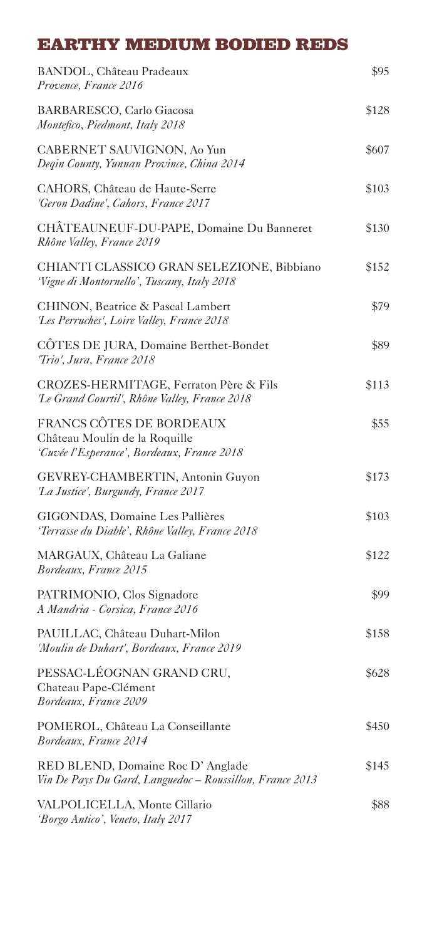## **EARTHY MEDIUM BODIED REDS**

| BANDOL, Château Pradeaux<br>Provence, France 2016                                                       | \$95  |
|---------------------------------------------------------------------------------------------------------|-------|
| <b>BARBARESCO, Carlo Giacosa</b><br>Montefico, Piedmont, Italy 2018                                     | \$128 |
| CABERNET SAUVIGNON, Ao Yun<br>Degin County, Yunnan Province, China 2014                                 | \$607 |
| CAHORS, Château de Haute-Serre<br>'Geron Dadine', Cahors, France 2017                                   | \$103 |
| CHÂTEAUNEUF-DU-PAPE, Domaine Du Banneret<br>Rhône Valley, France 2019                                   | \$130 |
| CHIANTI CLASSICO GRAN SELEZIONE, Bibbiano<br>'Vigne di Montornello', Tuscany, Italy 2018                | \$152 |
| CHINON, Beatrice & Pascal Lambert<br>'Les Perruches', Loire Valley, France 2018                         | \$79  |
| CÔTES DE JURA, Domaine Berthet-Bondet<br>'Trio', Jura, France 2018                                      | \$89  |
| CROZES-HERMITAGE, Ferraton Père & Fils<br>'Le Grand Courtil', Rhône Valley, France 2018                 | \$113 |
| FRANCS CÔTES DE BORDEAUX<br>Château Moulin de la Roquille<br>'Cuvée l'Esperance', Bordeaux, France 2018 | \$55  |
| GEVREY-CHAMBERTIN, Antonin Guyon<br>'La Justice', Burgundy, France 2017                                 | \$173 |
| GIGONDAS, Domaine Les Pallières<br>'Terrasse du Diable', Rhône Valley, France 2018                      | \$103 |
| MARGAUX, Château La Galiane<br>Bordeaux, France 2015                                                    | \$122 |
| PATRIMONIO, Clos Signadore<br>A Mandria - Corsica, France 2016                                          | \$99  |
| PAUILLAC, Château Duhart-Milon<br>'Moulin de Duhart', Bordeaux, France 2019                             | \$158 |
| PESSAC-LÉOGNAN GRAND CRU,<br>Chateau Pape-Clément<br>Bordeaux, France 2009                              | \$628 |
| POMEROL, Château La Conseillante<br>Bordeaux, France 2014                                               | \$450 |
| RED BLEND, Domaine Roc D'Anglade<br>Vin De Pays Du Gard, Languedoc - Roussillon, France 2013            | \$145 |
| VALPOLICELLA, Monte Cillario<br>'Borgo Antico', Veneto, Italy 2017                                      | \$88  |